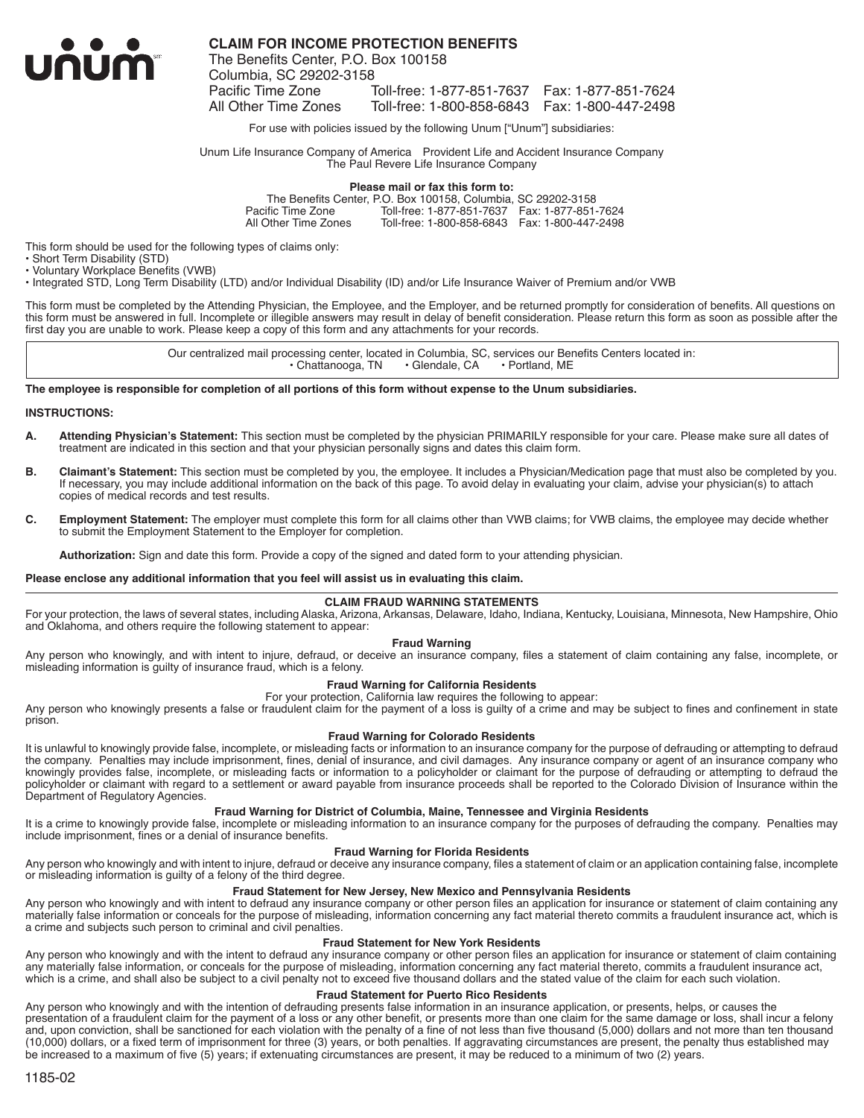

**CLAIM FOR INCOME PROTECTION BENEFITS**

The Benefits Center, P.O. Box 100158 Columbia, SC 29202-3158 Toll-free: 1-877-851-7637 Fax: 1-877-851-7624 All Other Time Zones Toll-free: 1-800-858-6843 Fax: 1-800-447-2498

For use with policies issued by the following Unum ["Unum"] subsidiaries:

Unum Life Insurance Company of America Provident Life and Accident Insurance Company The Paul Revere Life Insurance Company

### **Please mail or fax this form to:**

The Benefits Center, P.O. Box 100158, Columbia, SC 29202-3158 Pacific Time Zone Toll-free: 1-877-851-7637 Fax: 1-877-851-7624 Toll-free: 1-800-858-6843 Fax: 1-800-447-2498

This form should be used for the following types of claims only:

• Short Term Disability (STD)

• Voluntary Workplace Benefits (VWB)

• Integrated STD, Long Term Disability (LTD) and/or Individual Disability (ID) and/or Life Insurance Waiver of Premium and/or VWB

This form must be completed by the Attending Physician, the Employee, and the Employer, and be returned promptly for consideration of benefits. All questions on this form must be answered in full. Incomplete or illegible answers may result in delay of benefit consideration. Please return this form as soon as possible after the first day you are unable to work. Please keep a copy of this form and any attachments for your records.

> Our centralized mail processing center, located in Columbia, SC, services our Benefits Centers located in:<br>Chattanooga, TN Glendale, CA Portland, ME  $\cdot$  Chattanooga, TN

#### **The employee is responsible for completion of all portions of this form without expense to the Unum subsidiaries.**

#### **INSTRUCTIONS:**

- **A. Attending Physician's Statement:** This section must be completed by the physician PRIMARILY responsible for your care. Please make sure all dates of treatment are indicated in this section and that your physician personally signs and dates this claim form.
- **B. Claimant's Statement:** This section must be completed by you, the employee. It includes a Physician/Medication page that must also be completed by you. If necessary, you may include additional information on the back of this page. To avoid delay in evaluating your claim, advise your physician(s) to attach copies of medical records and test results.
- **C. Employment Statement:** The employer must complete this form for all claims other than VWB claims; for VWB claims, the employee may decide whether to submit the Employment Statement to the Employer for completion.

**Authorization:** Sign and date this form. Provide a copy of the signed and dated form to your attending physician.

#### **Please enclose any additional information that you feel will assist us in evaluating this claim.**

## **CLAIM FRAUD WARNING STATEMENTS**

For your protection, the laws of several states, including Alaska, Arizona, Arkansas, Delaware, Idaho, Indiana, Kentucky, Louisiana, Minnesota, New Hampshire, Ohio and Oklahoma, and others require the following statement to appear:

## **Fraud Warning**

Any person who knowingly, and with intent to injure, defraud, or deceive an insurance company, files a statement of claim containing any false, incomplete, or misleading information is guilty of insurance fraud, which is a felony.

#### **Fraud Warning for California Residents**

For your protection, California law requires the following to appear:

Any person who knowingly presents a false or fraudulent claim for the payment of a loss is guilty of a crime and may be subject to fines and confinement in state prison.

## **Fraud Warning for Colorado Residents**

It is unlawful to knowingly provide false, incomplete, or misleading facts or information to an insurance company for the purpose of defrauding or attempting to defraud the company. Penalties may include imprisonment, fines, denial of insurance, and civil damages. Any insurance company or agent of an insurance company who knowingly provides false, incomplete, or misleading facts or information to a policyholder or claimant for the purpose of defrauding or attempting to defraud the policyholder or claimant with regard to a settlement or award payable from insurance proceeds shall be reported to the Colorado Division of Insurance within the Department of Regulatory Agencies.

### **Fraud Warning for District of Columbia, Maine, Tennessee and Virginia Residents**

It is a crime to knowingly provide false, incomplete or misleading information to an insurance company for the purposes of defrauding the company. Penalties may include imprisonment, fines or a denial of insurance benefits.

#### **Fraud Warning for Florida Residents**

Any person who knowingly and with intent to injure, defraud or deceive any insurance company, files a statement of claim or an application containing false, incomplete or misleading information is guilty of a felony of the third degree.

## **Fraud Statement for New Jersey, New Mexico and Pennsylvania Residents**

Any person who knowingly and with intent to defraud any insurance company or other person files an application for insurance or statement of claim containing any materially false information or conceals for the purpose of misleading, information concerning any fact material thereto commits a fraudulent insurance act, which is a crime and subjects such person to criminal and civil penalties.

#### **Fraud Statement for New York Residents**

Any person who knowingly and with the intent to defraud any insurance company or other person files an application for insurance or statement of claim containing any materially false information, or conceals for the purpose of misleading, information concerning any fact material thereto, commits a fraudulent insurance act, which is a crime, and shall also be subject to a civil penalty not to exceed five thousand dollars and the stated value of the claim for each such violation.

#### **Fraud Statement for Puerto Rico Residents**

Any person who knowingly and with the intention of defrauding presents false information in an insurance application, or presents, helps, or causes the presentation of a fraudulent claim for the payment of a loss or any other benefit, or presents more than one claim for the same damage or loss, shall incur a felony and, upon conviction, shall be sanctioned for each violation with the penalty of a fine of not less than five thousand (5,000) dollars and not more than ten thousand (10,000) dollars, or a fixed term of imprisonment for three (3) years, or both penalties. If aggravating circumstances are present, the penalty thus established may be increased to a maximum of five (5) years; if extenuating circumstances are present, it may be reduced to a minimum of two (2) years.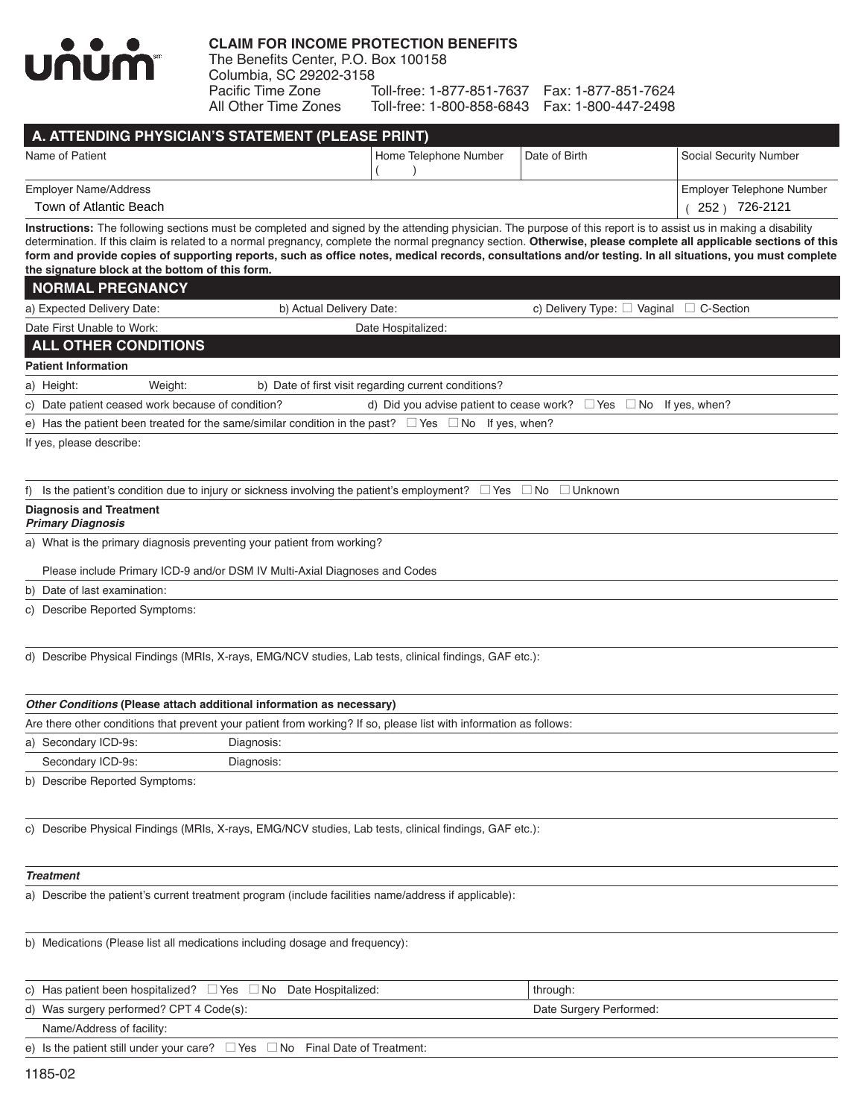

## **CLAIM FOR INCOME PROTECTION BENEFITS**

The Benefits Center, P.O. Box 100158 Columbia, SC 29202-3158 Pacific Time Zone Toll-free: 1-877-851-7637 Fax: 1-877-851-7624 Toll-free: 1-800-858-6843 Fax: 1-800-447-2498

| A. ATTENDING PHYSICIAN'S STATEMENT (PLEASE PRINT) |                       |               |                           |  |  |  |  |  |  |  |  |
|---------------------------------------------------|-----------------------|---------------|---------------------------|--|--|--|--|--|--|--|--|
| Name of Patient                                   | Home Telephone Number | Date of Birth | Social Security Number    |  |  |  |  |  |  |  |  |
|                                                   |                       |               |                           |  |  |  |  |  |  |  |  |
| Employer Name/Address                             |                       |               | Employer Telephone Number |  |  |  |  |  |  |  |  |
| Town of Atlantic Beach                            |                       |               | 726-2121<br>$252 \times$  |  |  |  |  |  |  |  |  |

**Instructions:** The following sections must be completed and signed by the attending physician. The purpose of this report is to assist us in making a disability determination. If this claim is related to a normal pregnancy, complete the normal pregnancy section. **Otherwise, please complete all applicable sections of this form and provide copies of supporting reports, such as office notes, medical records, consultations and/or testing. In all situations, you must complete the signature block at the bottom of this form.**

| <b>NORMAL PREGNANCY</b>                           |         |  |                                                                                                                |                                                                             |  |                                                   |  |  |  |
|---------------------------------------------------|---------|--|----------------------------------------------------------------------------------------------------------------|-----------------------------------------------------------------------------|--|---------------------------------------------------|--|--|--|
| a) Expected Delivery Date:                        |         |  | b) Actual Delivery Date:                                                                                       |                                                                             |  | c) Delivery Type: $\Box$ Vaginal $\Box$ C-Section |  |  |  |
| Date First Unable to Work:                        |         |  | Date Hospitalized:                                                                                             |                                                                             |  |                                                   |  |  |  |
| <b>ALL OTHER CONDITIONS</b>                       |         |  |                                                                                                                |                                                                             |  |                                                   |  |  |  |
| <b>Patient Information</b>                        |         |  |                                                                                                                |                                                                             |  |                                                   |  |  |  |
| a) Height:                                        | Weight: |  | b) Date of first visit regarding current conditions?                                                           |                                                                             |  |                                                   |  |  |  |
| c) Date patient ceased work because of condition? |         |  |                                                                                                                | d) Did you advise patient to cease work? $\Box$ Yes $\Box$ No If yes, when? |  |                                                   |  |  |  |
|                                                   |         |  | e) Has the patient been treated for the same/similar condition in the past? $\Box$ Yes $\Box$ No If yes, when? |                                                                             |  |                                                   |  |  |  |
|                                                   |         |  |                                                                                                                |                                                                             |  |                                                   |  |  |  |

If yes, please describe:

f) Is the patient's condition due to injury or sickness involving the patient's employment?  $\Box$  Yes  $\Box$  No  $\Box$  Unknown

## **Diagnosis and Treatment**

## *Primary Diagnosis*

a) What is the primary diagnosis preventing your patient from working?

Please include Primary ICD-9 and/or DSM IV Multi-Axial Diagnoses and Codes

b) Date of last examination:

c) Describe Reported Symptoms:

d) Describe Physical Findings (MRIs, X-rays, EMG/NCV studies, Lab tests, clinical findings, GAF etc.):

| Other Conditions (Please attach additional information as necessary) |  |
|----------------------------------------------------------------------|--|
|----------------------------------------------------------------------|--|

Are there other conditions that prevent your patient from working? If so, please list with information as follows:

a) Secondary ICD-9s: Diagnosis:

Secondary ICD-9s: Diagnosis:

b) Describe Reported Symptoms:

c) Describe Physical Findings (MRIs, X-rays, EMG/NCV studies, Lab tests, clinical findings, GAF etc.):

## *Treatment*

a) Describe the patient's current treatment program (include facilities name/address if applicable):

b) Medications (Please list all medications including dosage and frequency):

| c) Has patient been hospitalized? $\Box$ Yes $\Box$ No Date Hospitalized:              | through:                |
|----------------------------------------------------------------------------------------|-------------------------|
| d) Was surgery performed? CPT 4 Code(s):                                               | Date Surgery Performed: |
| Name/Address of facility:                                                              |                         |
| e) Is the patient still under your care? $\Box$ Yes $\Box$ No Final Date of Treatment: |                         |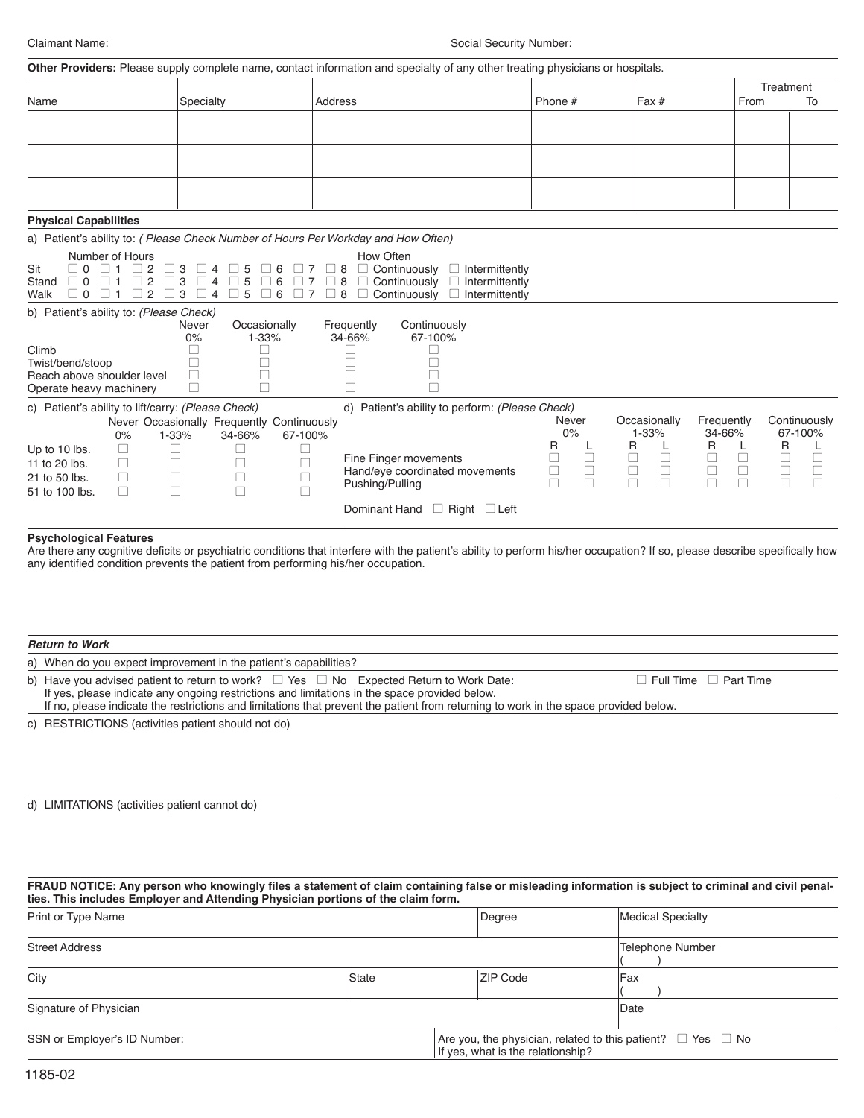|                                                                                                 |                                                                                                              | Other Providers: Please supply complete name, contact information and specialty of any other treating physicians or hospitals.                                       |                            |                           |                                                                         |
|-------------------------------------------------------------------------------------------------|--------------------------------------------------------------------------------------------------------------|----------------------------------------------------------------------------------------------------------------------------------------------------------------------|----------------------------|---------------------------|-------------------------------------------------------------------------|
| Name                                                                                            | Specialty                                                                                                    | Address                                                                                                                                                              | Phone #                    | Fax#                      | Treatment<br>From<br>To                                                 |
|                                                                                                 |                                                                                                              |                                                                                                                                                                      |                            |                           |                                                                         |
|                                                                                                 |                                                                                                              |                                                                                                                                                                      |                            |                           |                                                                         |
|                                                                                                 |                                                                                                              |                                                                                                                                                                      |                            |                           |                                                                         |
|                                                                                                 |                                                                                                              |                                                                                                                                                                      |                            |                           |                                                                         |
|                                                                                                 |                                                                                                              |                                                                                                                                                                      |                            |                           |                                                                         |
| <b>Physical Capabilities</b>                                                                    |                                                                                                              |                                                                                                                                                                      |                            |                           |                                                                         |
|                                                                                                 |                                                                                                              | a) Patient's ability to: (Please Check Number of Hours Per Workday and How Often)                                                                                    |                            |                           |                                                                         |
| Number of Hours<br>Sit<br>∩ ר<br>2<br>Stand<br>2<br>∩ ר<br>2<br>$\Box$ 0<br>Walk                | 3<br>3<br>6<br>4<br>3<br>6<br>4<br>5                                                                         | How Often<br>$\Box$ Continuously<br>Intermittently<br>8<br>Continuously<br>П<br>8<br>П<br>Intermittently<br>$\mathbf{L}$<br>8<br>Continuously<br>П<br>Intermittently |                            |                           |                                                                         |
| b) Patient's ability to: (Please Check)                                                         |                                                                                                              |                                                                                                                                                                      |                            |                           |                                                                         |
|                                                                                                 | Occasionally<br>Never<br>0%<br>1-33%                                                                         | Continuously<br>Frequently<br>34-66%<br>67-100%                                                                                                                      |                            |                           |                                                                         |
| Climb<br>Twist/bend/stoop                                                                       |                                                                                                              |                                                                                                                                                                      |                            |                           |                                                                         |
| Reach above shoulder level<br>Operate heavy machinery                                           | $\Box$                                                                                                       |                                                                                                                                                                      |                            |                           |                                                                         |
| c) Patient's ability to lift/carry: (Please Check)                                              |                                                                                                              | d) Patient's ability to perform: (Please Check)                                                                                                                      |                            |                           |                                                                         |
| 0%                                                                                              | Never Occasionally Frequently Continuously<br>1-33%<br>34-66%<br>67-100%                                     |                                                                                                                                                                      | Never<br>0%                | Occasionally<br>$1 - 33%$ | Continuously<br>Frequently<br>34-66%<br>67-100%                         |
| Up to 10 lbs.<br>$\Box$<br>11 to 20 lbs.<br>П<br>21 to 50 lbs.<br>□<br>$\Box$<br>51 to 100 lbs. | $\Box$<br>$\mathbf{L}$<br>$\mathbf{L}$<br>П<br>⊔<br>$\Box$<br>$\Box$<br>□<br>□<br>$\Box$<br>$\Box$<br>$\Box$ | Fine Finger movements<br>Hand/eye coordinated movements<br>Pushing/Pulling                                                                                           | R<br>L<br>$\Box$<br>$\Box$ | R<br>$\Box$<br>$\Box$     | R<br>R<br>□<br>$\Box$<br>$\Box$<br>$\Box$<br>$\Box$<br>$\Box$<br>$\Box$ |
|                                                                                                 |                                                                                                              | Dominant Hand<br>$\Box$ Right $\Box$ Left                                                                                                                            |                            |                           |                                                                         |

## **Psychological Features**

Are there any cognitive deficits or psychiatric conditions that interfere with the patient's ability to perform his/her occupation? If so, please describe specifically how any identified condition prevents the patient from performing his/her occupation.

| <b>Return to Work</b>                                                                                                                                                                                                                                                                                                                      |                                   |
|--------------------------------------------------------------------------------------------------------------------------------------------------------------------------------------------------------------------------------------------------------------------------------------------------------------------------------------------|-----------------------------------|
| a) When do you expect improvement in the patient's capabilities?                                                                                                                                                                                                                                                                           |                                   |
| b) Have you advised patient to return to work? $\Box$ Yes $\Box$ No Expected Return to Work Date:<br>If yes, please indicate any ongoing restrictions and limitations in the space provided below.<br>If no, please indicate the restrictions and limitations that prevent the patient from returning to work in the space provided below. | $\Box$ Full Time $\Box$ Part Time |
| c) RESTRICTIONS (activities patient should not do)                                                                                                                                                                                                                                                                                         |                                   |

d) LIMITATIONS (activities patient cannot do)

**FRAUD NOTICE: Any person who knowingly files a statement of claim containing false or misleading information is subject to criminal and civil penalties. This includes Employer and Attending Physician portions of the claim form.**

| Print or Type Name           |       |                                   | Degree                                                                | Medical Specialty |  |  |  |
|------------------------------|-------|-----------------------------------|-----------------------------------------------------------------------|-------------------|--|--|--|
| <b>Street Address</b>        |       |                                   |                                                                       | Telephone Number  |  |  |  |
| City                         | State |                                   |                                                                       | Fax               |  |  |  |
| Signature of Physician       |       |                                   |                                                                       | <b>IDate</b>      |  |  |  |
| SSN or Employer's ID Number: |       | If yes, what is the relationship? | Are you, the physician, related to this patient? $\Box$ Yes $\Box$ No |                   |  |  |  |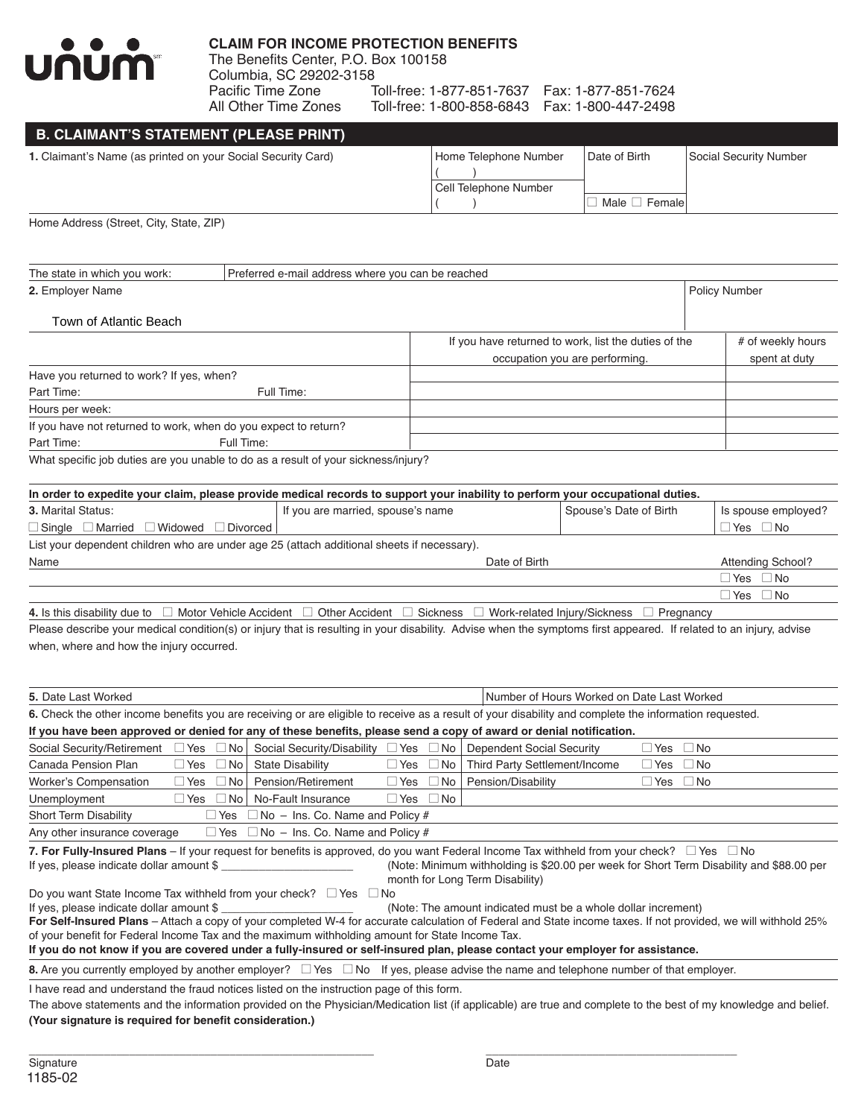

## **CLAIM FOR INCOME PROTECTION BENEFITS**

The Benefits Center, P.O. Box 100158 Columbia, SC 29202-3158 Pacific Time Zone Toll-free: 1-877-851-7637 Fax: 1-877-851-7624 Toll-free: 1-800-858-6843 Fax: 1-800-447-2498

## **B. CLAIMANT'S STATEMENT (PLEASE PRINT) 1.** Claimant's Name (as printed on your Social Security Card) Home Telephone Number Date of Birth Social Security Number  $($   $)$ Cell Telephone Number  $\Box$  Male  $\Box$  Female

Home Address (Street, City, State, ZIP)

| The state in which you work:                                    | Preferred e-mail address where you can be reached                                  |                                                      |  |                   |  |  |  |  |
|-----------------------------------------------------------------|------------------------------------------------------------------------------------|------------------------------------------------------|--|-------------------|--|--|--|--|
| 2. Employer Name                                                |                                                                                    | <b>Policy Number</b>                                 |  |                   |  |  |  |  |
| Town of Atlantic Beach                                          |                                                                                    |                                                      |  |                   |  |  |  |  |
|                                                                 |                                                                                    | If you have returned to work, list the duties of the |  | # of weekly hours |  |  |  |  |
|                                                                 |                                                                                    | occupation you are performing.                       |  | spent at duty     |  |  |  |  |
| Have you returned to work? If yes, when?                        |                                                                                    |                                                      |  |                   |  |  |  |  |
| Part Time:                                                      | Full Time:                                                                         |                                                      |  |                   |  |  |  |  |
| Hours per week:                                                 |                                                                                    |                                                      |  |                   |  |  |  |  |
| If you have not returned to work, when do you expect to return? |                                                                                    |                                                      |  |                   |  |  |  |  |
| Part Time:                                                      | Full Time:                                                                         |                                                      |  |                   |  |  |  |  |
|                                                                 | What specific job duties are you unable to do as a result of your sickness/injury? |                                                      |  |                   |  |  |  |  |

**In order to expedite your claim, please provide medical records to support your inability to perform your occupational duties. 3.** Marital Status: **If you are married, spouse's name** Spouse's Date of Birth Is spouse employed?  $\Box$  Single  $\Box$  Married  $\Box$  Widowed  $\Box$  Divorced  $\vert$ List your dependent children who are under age 25 (attach additional sheets if necessary). Name **Name Name Name Name Name Attending School? CONSISTENT Attending School?**  $\Box$  Yes  $\Box$  No  $\Box$  Yes  $\Box$  No 4. Is this disability due to  $\Box$  Motor Vehicle Accident  $\Box$  Other Accident  $\Box$  Sickness  $\Box$  Work-related Injury/Sickness  $\Box$  Pregnancy

Please describe your medical condition(s) or injury that is resulting in your disability. Advise when the symptoms first appeared. If related to an injury, advise when, where and how the injury occurred.

| <b>5.</b> Date Last Worked<br>Number of Hours Worked on Date Last Worked                                                                                                                                                                                                                                                                                                                                                                                                                                                                                                                                                                                                                                                                                                                                                                                                                                                           |                                                     |  |  |  |  |  |  |  |  |
|------------------------------------------------------------------------------------------------------------------------------------------------------------------------------------------------------------------------------------------------------------------------------------------------------------------------------------------------------------------------------------------------------------------------------------------------------------------------------------------------------------------------------------------------------------------------------------------------------------------------------------------------------------------------------------------------------------------------------------------------------------------------------------------------------------------------------------------------------------------------------------------------------------------------------------|-----------------------------------------------------|--|--|--|--|--|--|--|--|
| 6. Check the other income benefits you are receiving or are eligible to receive as a result of your disability and complete the information requested.                                                                                                                                                                                                                                                                                                                                                                                                                                                                                                                                                                                                                                                                                                                                                                             |                                                     |  |  |  |  |  |  |  |  |
| If you have been approved or denied for any of these benefits, please send a copy of award or denial notification.                                                                                                                                                                                                                                                                                                                                                                                                                                                                                                                                                                                                                                                                                                                                                                                                                 |                                                     |  |  |  |  |  |  |  |  |
| Social Security/Retirement $\Box$ Yes $\Box$ No   Social Security/Disability $\Box$ Yes $\Box$ No   Dependent Social Security                                                                                                                                                                                                                                                                                                                                                                                                                                                                                                                                                                                                                                                                                                                                                                                                      | $\Box$ Yes<br>∣ ∣No                                 |  |  |  |  |  |  |  |  |
| $\Box$ Yes $\Box$ No<br>Canada Pension Plan<br>$\Box$ Yes $\Box$ No<br><b>State Disability</b>                                                                                                                                                                                                                                                                                                                                                                                                                                                                                                                                                                                                                                                                                                                                                                                                                                     | Third Party Settlement/Income<br>$\Box$ Yes<br>  No |  |  |  |  |  |  |  |  |
| Worker's Compensation<br>Pension/Retirement<br>$\Box$ No<br>$\Box$ No<br>$\Box$ Yes<br>l Yes                                                                                                                                                                                                                                                                                                                                                                                                                                                                                                                                                                                                                                                                                                                                                                                                                                       | Pension/Disability<br>$\Box$ Yes<br>l No            |  |  |  |  |  |  |  |  |
| No-Fault Insurance<br>Unemployment<br>$\Box$ Yes $\Box$ No $\Box$<br>$\Box$ Yes $\Box$ No                                                                                                                                                                                                                                                                                                                                                                                                                                                                                                                                                                                                                                                                                                                                                                                                                                          |                                                     |  |  |  |  |  |  |  |  |
| Short Term Disability<br>$\Box$ Yes $\Box$ No – Ins. Co. Name and Policy #                                                                                                                                                                                                                                                                                                                                                                                                                                                                                                                                                                                                                                                                                                                                                                                                                                                         |                                                     |  |  |  |  |  |  |  |  |
| Any other insurance coverage $\Box$ Yes $\Box$ No $-$ Ins. Co. Name and Policy #                                                                                                                                                                                                                                                                                                                                                                                                                                                                                                                                                                                                                                                                                                                                                                                                                                                   |                                                     |  |  |  |  |  |  |  |  |
| 7. For Fully-Insured Plans – If your request for benefits is approved, do you want Federal Income Tax withheld from your check? $\Box$ Yes $\Box$ No<br>(Note: Minimum withholding is \$20.00 per week for Short Term Disability and \$88.00 per<br>If yes, please indicate dollar amount \$<br>month for Long Term Disability)<br>Do you want State Income Tax withheld from your check? $\Box$ Yes $\Box$ No<br>If yes, please indicate dollar amount \$<br>(Note: The amount indicated must be a whole dollar increment)<br>For Self-Insured Plans – Attach a copy of your completed W-4 for accurate calculation of Federal and State income taxes. If not provided, we will withhold 25%<br>of your benefit for Federal Income Tax and the maximum withholding amount for State Income Tax.<br>If you do not know if you are covered under a fully-insured or self-insured plan, please contact your employer for assistance. |                                                     |  |  |  |  |  |  |  |  |
| <b>8.</b> Are you currently employed by another employer? $\Box$ Yes $\Box$ No If yes, please advise the name and telephone number of that employer.                                                                                                                                                                                                                                                                                                                                                                                                                                                                                                                                                                                                                                                                                                                                                                               |                                                     |  |  |  |  |  |  |  |  |
| I have read and understand the fraud notices listed on the instruction page of this form.<br>The above statements and the information provided on the Physician/Medication list (if applicable) are true and complete to the best of my knowledge and belief.<br>(Your signature is required for benefit consideration.)                                                                                                                                                                                                                                                                                                                                                                                                                                                                                                                                                                                                           |                                                     |  |  |  |  |  |  |  |  |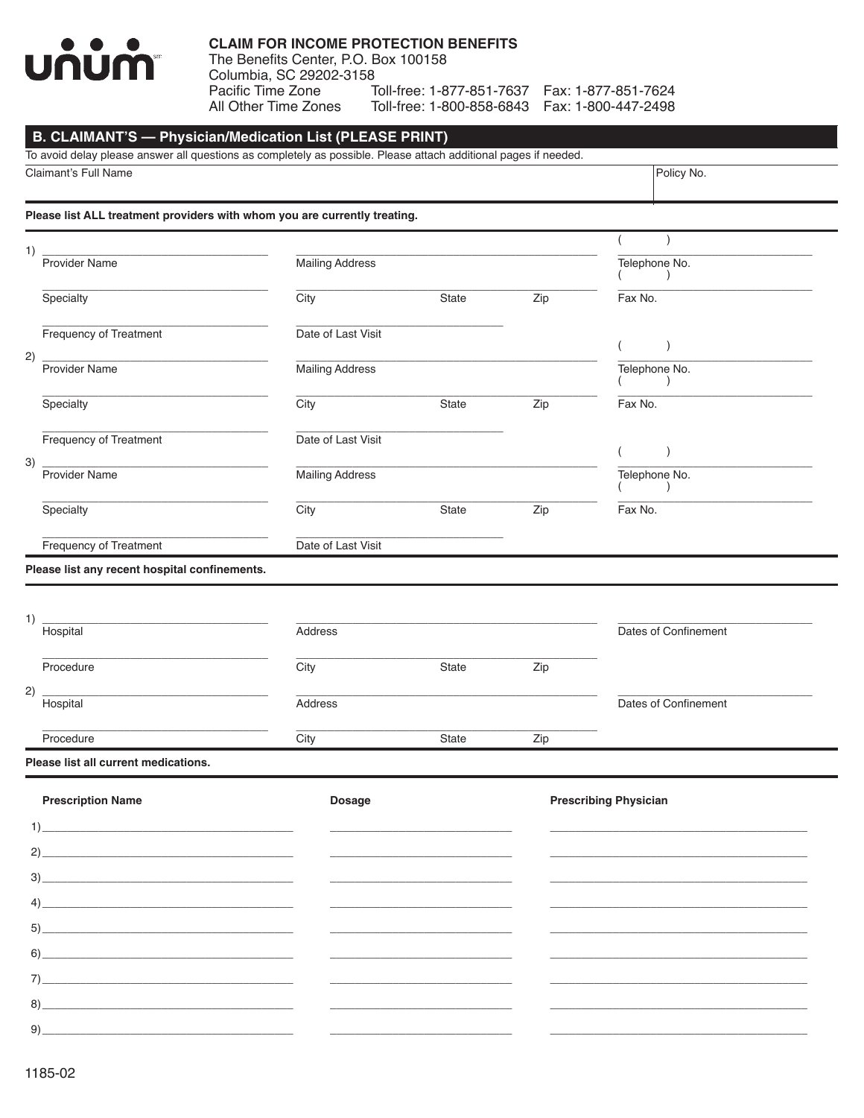# UNUM

## **CLAIM FOR INCOME PROTECTION BENEFITS**

The Benefits Center, P.O. Box 100158 Columbia, SC 29202-3158 Pacific Time Zone Toll-free: 1-877-851-7637 Fax: 1-877-851-7624 All Other Time Zones Toll-free: 1-800-858-6843 Fax: 1-800-447-2498

Policy No.

# **B. CLAIMANT'S - Physician/Medication List (PLEASE PRINT)**

To avoid delay please answer all questions as completely as possible. Please attach additional pages if needed.

Claimant's Full Name

Please list ALL treatment providers with whom you are currently treating.

| 1) | Provider Name                                   | <b>Mailing Address</b> |       |     | Telephone No.                |  |
|----|-------------------------------------------------|------------------------|-------|-----|------------------------------|--|
|    | Specialty                                       | City                   | State | Zip | Fax No.                      |  |
|    | Frequency of Treatment                          | Date of Last Visit     |       |     | $\lambda$<br>$\left($        |  |
| 2) | Provider Name                                   | <b>Mailing Address</b> |       |     | Telephone No.<br>$\lambda$   |  |
|    | Specialty                                       | City                   | State | Zip | Fax No.                      |  |
|    | Frequency of Treatment                          | Date of Last Visit     |       |     | $\big)$<br>$\left($          |  |
| 3) | Provider Name                                   | Mailing Address        |       |     | Telephone No.<br>$\lambda$   |  |
|    | Specialty                                       | City                   | State | Zip | Fax No.                      |  |
|    | Frequency of Treatment                          | Date of Last Visit     |       |     |                              |  |
| 1) | Please list any recent hospital confinements.   |                        |       |     |                              |  |
|    | Hospital                                        | Address                |       |     | Dates of Confinement         |  |
|    | Procedure                                       | City                   | State | Zip |                              |  |
| 2) | Hospital                                        | Address                |       |     | Dates of Confinement         |  |
|    | Procedure                                       | City                   | State | Zip |                              |  |
|    | Please list all current medications.            |                        |       |     |                              |  |
|    | <b>Prescription Name</b>                        | <b>Dosage</b>          |       |     | <b>Prescribing Physician</b> |  |
|    | $\left( \begin{array}{c} 1 \end{array} \right)$ |                        |       |     |                              |  |
|    | 2)                                              |                        |       |     |                              |  |
| 3) |                                                 |                        |       |     |                              |  |
|    |                                                 |                        |       |     |                              |  |

 $5)$ 

 $9)$ 

<u> 1989 - Johann Barbara, martxa al</u>

 $8)$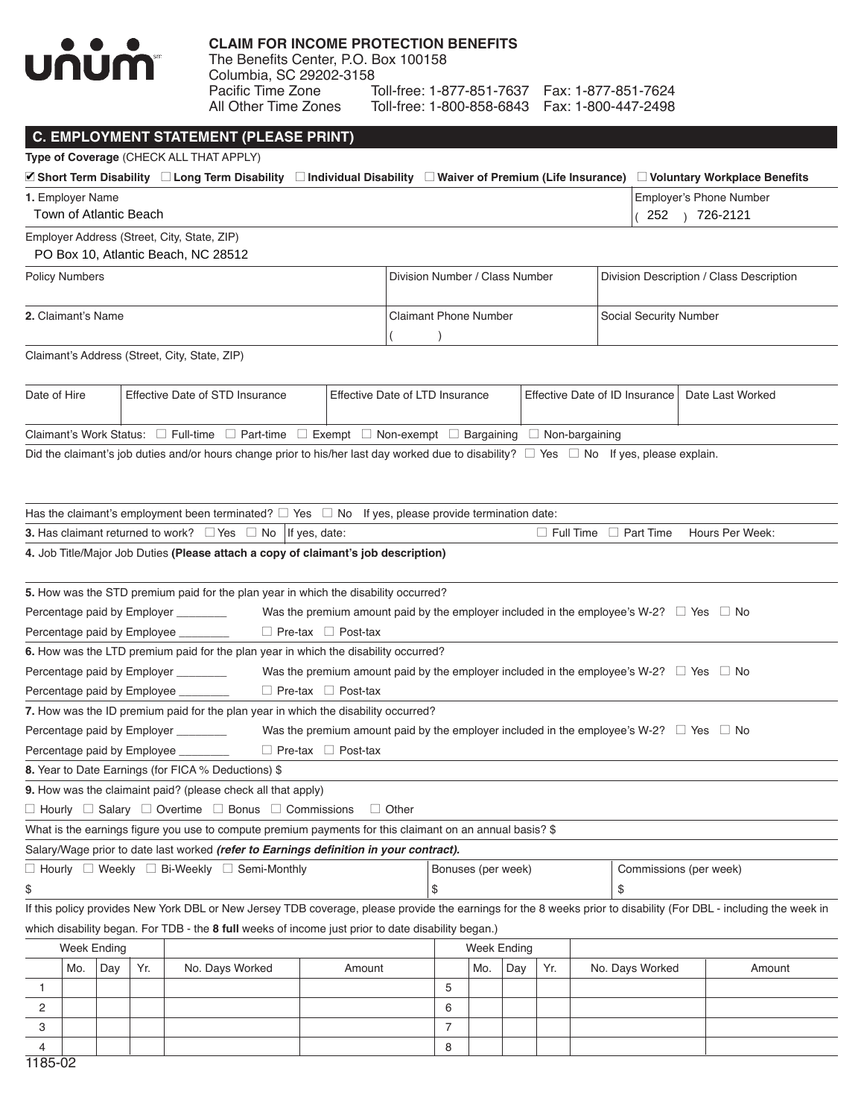

Toll-free: 1-800-858-6843 Fax: 1-800-447-2498

|                               |                    |     |                        | <b>C. EMPLOYMENT STATEMENT (PLEASE PRINT)</b>                                                                                                                     |                                                                                                        |                                |                     |                    |     |     |                                   |                                           |
|-------------------------------|--------------------|-----|------------------------|-------------------------------------------------------------------------------------------------------------------------------------------------------------------|--------------------------------------------------------------------------------------------------------|--------------------------------|---------------------|--------------------|-----|-----|-----------------------------------|-------------------------------------------|
|                               |                    |     |                        | Type of Coverage (CHECK ALL THAT APPLY)                                                                                                                           |                                                                                                        |                                |                     |                    |     |     |                                   |                                           |
|                               |                    |     |                        | ■ Short Term Disability □ Long Term Disability □ Individual Disability □ Waiver of Premium (Life Insurance) □ Voluntary Workplace Benefits                        |                                                                                                        |                                |                     |                    |     |     |                                   |                                           |
| 1. Employer Name              |                    |     | Town of Atlantic Beach |                                                                                                                                                                   |                                                                                                        |                                |                     |                    |     |     |                                   | Employer's Phone Number<br>252 1 726-2121 |
|                               |                    |     |                        | Employer Address (Street, City, State, ZIP)                                                                                                                       |                                                                                                        |                                |                     |                    |     |     |                                   |                                           |
|                               |                    |     |                        | PO Box 10, Atlantic Beach, NC 28512                                                                                                                               |                                                                                                        |                                |                     |                    |     |     |                                   |                                           |
| <b>Policy Numbers</b>         |                    |     |                        |                                                                                                                                                                   |                                                                                                        | Division Number / Class Number |                     |                    |     |     |                                   | Division Description / Class Description  |
|                               |                    |     |                        |                                                                                                                                                                   |                                                                                                        |                                |                     |                    |     |     |                                   |                                           |
| 2. Claimant's Name            |                    |     |                        |                                                                                                                                                                   |                                                                                                        | <b>Claimant Phone Number</b>   |                     |                    |     |     | Social Security Number            |                                           |
|                               |                    |     |                        |                                                                                                                                                                   |                                                                                                        |                                |                     |                    |     |     |                                   |                                           |
|                               |                    |     |                        | Claimant's Address (Street, City, State, ZIP)                                                                                                                     |                                                                                                        |                                |                     |                    |     |     |                                   |                                           |
|                               |                    |     |                        |                                                                                                                                                                   |                                                                                                        |                                |                     |                    |     |     |                                   |                                           |
| Date of Hire                  |                    |     |                        | Effective Date of STD Insurance                                                                                                                                   | Effective Date of LTD Insurance                                                                        |                                |                     |                    |     |     | Effective Date of ID Insurance    | Date Last Worked                          |
|                               |                    |     |                        |                                                                                                                                                                   |                                                                                                        |                                |                     |                    |     |     |                                   |                                           |
|                               |                    |     |                        | Claimant's Work Status: $\square$ Full-time $\square$ Part-time $\square$ Exempt $\square$ Non-exempt $\square$ Bargaining $\square$ Non-bargaining               |                                                                                                        |                                |                     |                    |     |     |                                   |                                           |
|                               |                    |     |                        | Did the claimant's job duties and/or hours change prior to his/her last day worked due to disability? $\Box$ Yes $\Box$ No If yes, please explain.                |                                                                                                        |                                |                     |                    |     |     |                                   |                                           |
|                               |                    |     |                        |                                                                                                                                                                   |                                                                                                        |                                |                     |                    |     |     |                                   |                                           |
|                               |                    |     |                        |                                                                                                                                                                   |                                                                                                        |                                |                     |                    |     |     |                                   |                                           |
|                               |                    |     |                        |                                                                                                                                                                   |                                                                                                        |                                |                     |                    |     |     |                                   |                                           |
|                               |                    |     |                        | Has the claimant's employment been terminated? $\Box$ Yes $\Box$ No If yes, please provide termination date:                                                      |                                                                                                        |                                |                     |                    |     |     |                                   |                                           |
|                               |                    |     |                        | <b>3.</b> Has claimant returned to work? $\Box$ Yes $\Box$ No   If yes, date:                                                                                     |                                                                                                        |                                |                     |                    |     |     | $\Box$ Full Time $\Box$ Part Time | Hours Per Week:                           |
|                               |                    |     |                        | 4. Job Title/Major Job Duties (Please attach a copy of claimant's job description)                                                                                |                                                                                                        |                                |                     |                    |     |     |                                   |                                           |
|                               |                    |     |                        | 5. How was the STD premium paid for the plan year in which the disability occurred?                                                                               |                                                                                                        |                                |                     |                    |     |     |                                   |                                           |
|                               |                    |     |                        | Percentage paid by Employer _______                                                                                                                               | Was the premium amount paid by the employer included in the employee's W-2? $\Box$ Yes $\Box$ No       |                                |                     |                    |     |     |                                   |                                           |
| Percentage paid by Employee _ |                    |     |                        |                                                                                                                                                                   | $\Box$ Pre-tax $\Box$ Post-tax                                                                         |                                |                     |                    |     |     |                                   |                                           |
|                               |                    |     |                        | 6. How was the LTD premium paid for the plan year in which the disability occurred?                                                                               |                                                                                                        |                                |                     |                    |     |     |                                   |                                           |
|                               |                    |     |                        | Percentage paid by Employer ________                                                                                                                              | Was the premium amount paid by the employer included in the employee's W-2? $\square$ Yes $\square$ No |                                |                     |                    |     |     |                                   |                                           |
|                               |                    |     |                        | Percentage paid by Employee _______                                                                                                                               | $\Box$ Pre-tax $\Box$ Post-tax                                                                         |                                |                     |                    |     |     |                                   |                                           |
|                               |                    |     |                        | 7. How was the ID premium paid for the plan year in which the disability occurred?                                                                                |                                                                                                        |                                |                     |                    |     |     |                                   |                                           |
|                               |                    |     |                        | Percentage paid by Employer ________                                                                                                                              | Was the premium amount paid by the employer included in the employee's W-2? $\Box$ Yes $\Box$ No       |                                |                     |                    |     |     |                                   |                                           |
| Percentage paid by Employee _ |                    |     |                        |                                                                                                                                                                   | $\Box$ Pre-tax $\Box$ Post-tax                                                                         |                                |                     |                    |     |     |                                   |                                           |
|                               |                    |     |                        | 8. Year to Date Earnings (for FICA % Deductions) \$                                                                                                               |                                                                                                        |                                |                     |                    |     |     |                                   |                                           |
|                               |                    |     |                        | 9. How was the claimaint paid? (please check all that apply)                                                                                                      |                                                                                                        |                                |                     |                    |     |     |                                   |                                           |
|                               |                    |     |                        | $\Box$ Hourly $\Box$ Salary $\Box$ Overtime $\Box$ Bonus $\Box$ Commissions                                                                                       |                                                                                                        | $\Box$ Other                   |                     |                    |     |     |                                   |                                           |
|                               |                    |     |                        | What is the earnings figure you use to compute premium payments for this claimant on an annual basis? \$                                                          |                                                                                                        |                                |                     |                    |     |     |                                   |                                           |
|                               |                    |     |                        | Salary/Wage prior to date last worked (refer to Earnings definition in your contract).                                                                            |                                                                                                        |                                |                     |                    |     |     |                                   |                                           |
|                               |                    |     |                        | $\Box$ Hourly $\Box$ Weekly $\Box$ Bi-Weekly $\Box$ Semi-Monthly                                                                                                  |                                                                                                        |                                |                     | Bonuses (per week) |     |     | Commissions (per week)            |                                           |
| \$                            |                    |     |                        |                                                                                                                                                                   |                                                                                                        |                                | \$                  |                    |     |     | \$                                |                                           |
|                               |                    |     |                        | If this policy provides New York DBL or New Jersey TDB coverage, please provide the earnings for the 8 weeks prior to disability (For DBL - including the week in |                                                                                                        |                                |                     |                    |     |     |                                   |                                           |
|                               |                    |     |                        |                                                                                                                                                                   |                                                                                                        |                                |                     |                    |     |     |                                   |                                           |
|                               | <b>Week Ending</b> |     |                        | which disability began. For TDB - the 8 full weeks of income just prior to date disability began.)                                                                |                                                                                                        |                                |                     | <b>Week Ending</b> |     |     |                                   |                                           |
|                               | Mo.                | Day | Yr.                    | No. Days Worked                                                                                                                                                   | Amount                                                                                                 |                                |                     | Mo.                | Day | Yr. | No. Days Worked                   | Amount                                    |
|                               |                    |     |                        |                                                                                                                                                                   |                                                                                                        |                                |                     |                    |     |     |                                   |                                           |
| 1                             |                    |     |                        |                                                                                                                                                                   |                                                                                                        |                                | 5                   |                    |     |     |                                   |                                           |
| 2                             |                    |     |                        |                                                                                                                                                                   |                                                                                                        |                                | 6<br>$\overline{7}$ |                    |     |     |                                   |                                           |
| 3                             |                    |     |                        |                                                                                                                                                                   |                                                                                                        |                                |                     |                    |     |     |                                   |                                           |

4 8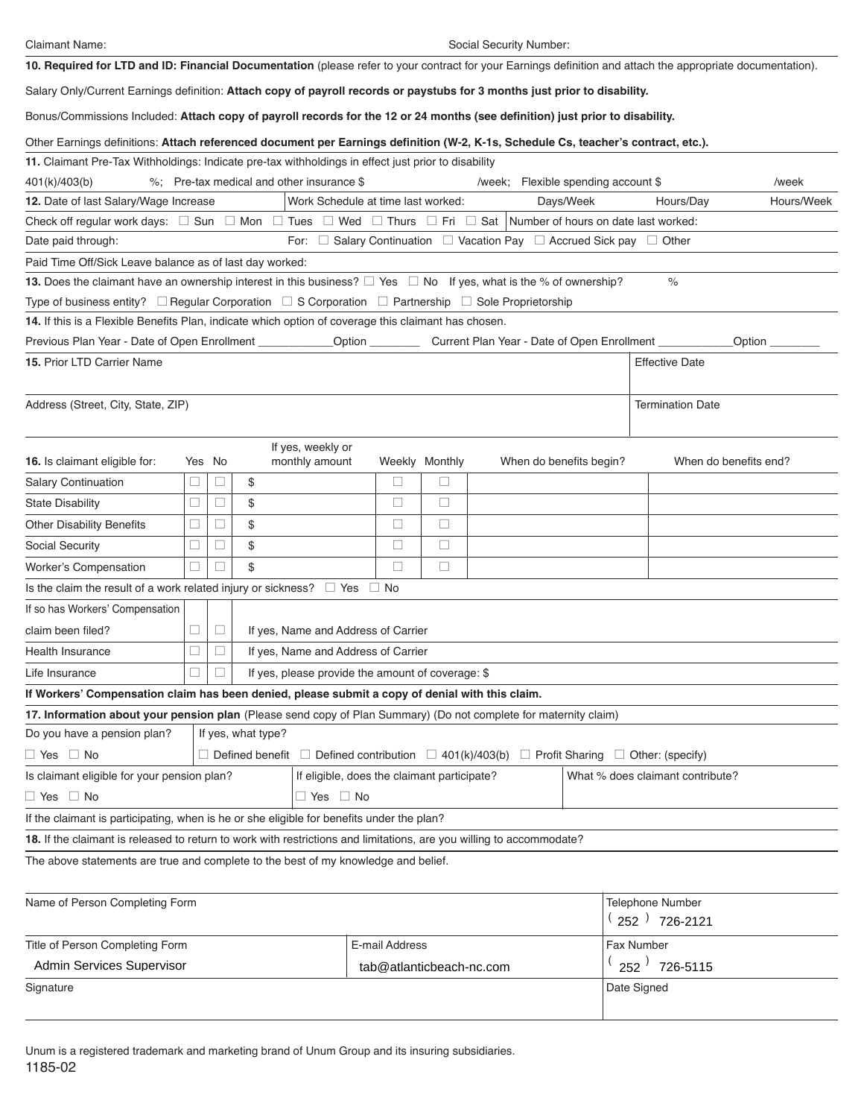Claimant Name: Social Security Number:

**10. Required for LTD and ID: Financial Documentation** (please refer to your contract for your Earnings definition and attach the appropriate documentation).

Salary Only/Current Earnings definition: **Attach copy of payroll records or paystubs for 3 months just prior to disability.**

Bonus/Commissions Included: **Attach copy of payroll records for the 12 or 24 months (see definition) just prior to disability.**

Other Earnings definitions: **Attach referenced document per Earnings definition (W-2, K-1s, Schedule Cs, teacher's contract, etc.).**

| 11. Claimant Pre-Tax Withholdings: Indicate pre-tax withholdings in effect just prior to disability                                                                      |          |          |                                                                                                                       |                          |                |                                                                      |                         |                                      |                       |
|--------------------------------------------------------------------------------------------------------------------------------------------------------------------------|----------|----------|-----------------------------------------------------------------------------------------------------------------------|--------------------------|----------------|----------------------------------------------------------------------|-------------------------|--------------------------------------|-----------------------|
| 401(k)/403(b)                                                                                                                                                            |          |          | %; Pre-tax medical and other insurance \$                                                                             |                          |                | /week; Flexible spending account \$                                  |                         |                                      | /week                 |
| 12. Date of last Salary/Wage Increase                                                                                                                                    |          |          | Work Schedule at time last worked:                                                                                    |                          |                |                                                                      | Days/Week               | Hours/Day                            | Hours/Week            |
| Check off regular work days: $\square$ Sun $\square$ Mon $\square$ Tues $\square$ Wed $\square$ Thurs $\square$ Fri $\square$ Sat   Number of hours on date last worked: |          |          |                                                                                                                       |                          |                |                                                                      |                         |                                      |                       |
| Date paid through:                                                                                                                                                       |          |          |                                                                                                                       |                          |                | For: □ Salary Continuation □ Vacation Pay □ Accrued Sick pay □ Other |                         |                                      |                       |
| Paid Time Off/Sick Leave balance as of last day worked:                                                                                                                  |          |          |                                                                                                                       |                          |                |                                                                      |                         |                                      |                       |
| 13. Does the claimant have an ownership interest in this business? $\Box$ Yes $\Box$ No If yes, what is the % of ownership?                                              |          |          |                                                                                                                       |                          |                |                                                                      |                         | $\%$                                 |                       |
| Type of business entity? $\Box$ Regular Corporation $\Box$ S Corporation $\Box$ Partnership $\Box$ Sole Proprietorship                                                   |          |          |                                                                                                                       |                          |                |                                                                      |                         |                                      |                       |
| 14. If this is a Flexible Benefits Plan, indicate which option of coverage this claimant has chosen.                                                                     |          |          |                                                                                                                       |                          |                |                                                                      |                         |                                      |                       |
| Previous Plan Year - Date of Open Enrollment _______________Option ___________ Current Plan Year - Date of Open Enrollment _________                                     |          |          |                                                                                                                       |                          |                |                                                                      |                         |                                      | Option                |
| <b>15. Prior LTD Carrier Name</b>                                                                                                                                        |          |          |                                                                                                                       |                          |                |                                                                      |                         | <b>Effective Date</b>                |                       |
| Address (Street, City, State, ZIP)                                                                                                                                       |          |          |                                                                                                                       |                          |                |                                                                      |                         | <b>Termination Date</b>              |                       |
| <b>16.</b> Is claimant eligible for:                                                                                                                                     |          | Yes No   | If yes, weekly or<br>monthly amount                                                                                   |                          | Weekly Monthly |                                                                      | When do benefits begin? |                                      | When do benefits end? |
| <b>Salary Continuation</b>                                                                                                                                               | $\sqcup$ |          | \$                                                                                                                    | □                        | □              |                                                                      |                         |                                      |                       |
| <b>State Disability</b>                                                                                                                                                  | $\Box$   | u        | \$                                                                                                                    | □                        | $\Box$         |                                                                      |                         |                                      |                       |
| <b>Other Disability Benefits</b>                                                                                                                                         | $\Box$   |          | \$                                                                                                                    | □                        | $\Box$         |                                                                      |                         |                                      |                       |
| Social Security                                                                                                                                                          | u        |          | \$                                                                                                                    | $\Box$                   | $\Box$         |                                                                      |                         |                                      |                       |
| <b>Worker's Compensation</b>                                                                                                                                             | u        |          | \$                                                                                                                    | □                        | $\Box$         |                                                                      |                         |                                      |                       |
| Is the claim the result of a work related injury or sickness? $\Box$ Yes                                                                                                 |          |          |                                                                                                                       | $\Box$ No                |                |                                                                      |                         |                                      |                       |
| If so has Workers' Compensation                                                                                                                                          |          |          |                                                                                                                       |                          |                |                                                                      |                         |                                      |                       |
| claim been filed?                                                                                                                                                        | □        | $\sqcup$ | If yes, Name and Address of Carrier                                                                                   |                          |                |                                                                      |                         |                                      |                       |
| Health Insurance                                                                                                                                                         | □        | u        | If yes, Name and Address of Carrier                                                                                   |                          |                |                                                                      |                         |                                      |                       |
| Life Insurance                                                                                                                                                           | П        |          | If yes, please provide the amount of coverage: \$                                                                     |                          |                |                                                                      |                         |                                      |                       |
| If Workers' Compensation claim has been denied, please submit a copy of denial with this claim.                                                                          |          |          |                                                                                                                       |                          |                |                                                                      |                         |                                      |                       |
| 17. Information about your pension plan (Please send copy of Plan Summary) (Do not complete for maternity claim)                                                         |          |          |                                                                                                                       |                          |                |                                                                      |                         |                                      |                       |
| Do you have a pension plan?                                                                                                                                              |          |          | If yes, what type?                                                                                                    |                          |                |                                                                      |                         |                                      |                       |
| $\Box$ Yes $\Box$ No                                                                                                                                                     |          |          | $\Box$ Defined benefit $\Box$ Defined contribution $\Box$ 401(k)/403(b) $\Box$ Profit Sharing $\Box$ Other: (specify) |                          |                |                                                                      |                         |                                      |                       |
| Is claimant eligible for your pension plan?                                                                                                                              |          |          | If eligible, does the claimant participate?                                                                           |                          |                |                                                                      |                         | What % does claimant contribute?     |                       |
| $\Box$ Yes $\Box$ No                                                                                                                                                     |          |          | $\Box$ Yes $\Box$ No                                                                                                  |                          |                |                                                                      |                         |                                      |                       |
| If the claimant is participating, when is he or she eligible for benefits under the plan?                                                                                |          |          |                                                                                                                       |                          |                |                                                                      |                         |                                      |                       |
| 18. If the claimant is released to return to work with restrictions and limitations, are you willing to accommodate?                                                     |          |          |                                                                                                                       |                          |                |                                                                      |                         |                                      |                       |
| The above statements are true and complete to the best of my knowledge and belief.                                                                                       |          |          |                                                                                                                       |                          |                |                                                                      |                         |                                      |                       |
| Name of Person Completing Form                                                                                                                                           |          |          |                                                                                                                       |                          |                |                                                                      |                         | Telephone Number<br>$(252)$ 726-2121 |                       |
| Title of Person Completing Form                                                                                                                                          |          |          |                                                                                                                       | E-mail Address           |                |                                                                      |                         | Fax Number                           |                       |
| Admin Services Supervisor                                                                                                                                                |          |          |                                                                                                                       | tab@atlanticbeach-nc.com |                |                                                                      |                         | $(252)$ 726-5115                     |                       |
| Signature                                                                                                                                                                |          |          |                                                                                                                       |                          |                |                                                                      |                         | Date Signed                          |                       |

1185-02 Unum is a registered trademark and marketing brand of Unum Group and its insuring subsidiaries.